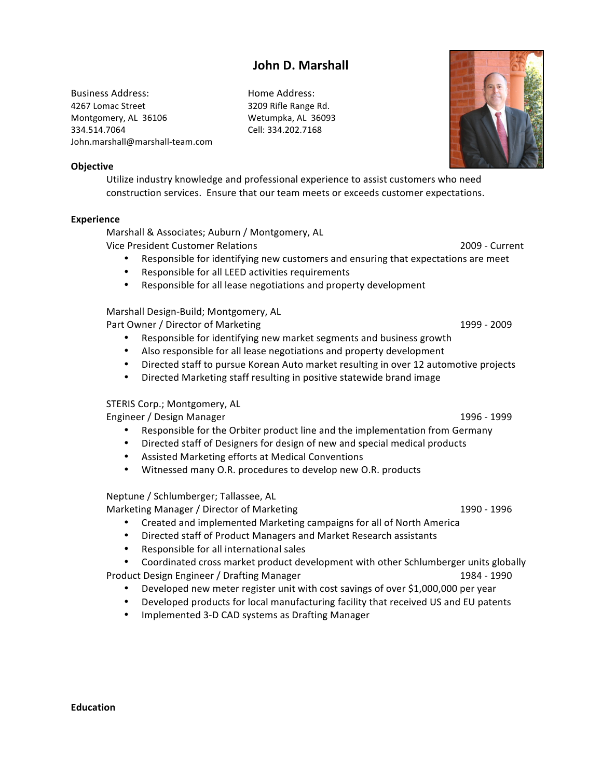# John D. Marshall

Business Address: Home Address: 4267 Lomac Street 3209 Rifle Range Rd. Montgomery, AL 36106 Wetumpka, AL 36093 334.514.7064 Cell: 334.202.7168 John.marshall@marshall-team.com



#### **Objective**

Utilize industry knowledge and professional experience to assist customers who need construction services. Ensure that our team meets or exceeds customer expectations.

#### **Experience**

Marshall & Associates; Auburn / Montgomery, AL

Vice President Customer Relations 2009 - Current

- Responsible for identifying new customers and ensuring that expectations are meet
- Responsible for all LEED activities requirements
- Responsible for all lease negotiations and property development

### Marshall Design-Build; Montgomery, AL

Part Owner / Director of Marketing **1999 - 2009** M 2009 M 2009

- Responsible for identifying new market segments and business growth
- Also responsible for all lease negotiations and property development
- Directed staff to pursue Korean Auto market resulting in over 12 automotive projects
- Directed Marketing staff resulting in positive statewide brand image

## STERIS Corp.; Montgomery, AL

Engineer / Design Manager | North Communication | 1996 - 1999

- Responsible for the Orbiter product line and the implementation from Germany
- Directed staff of Designers for design of new and special medical products
- Assisted Marketing efforts at Medical Conventions
- Witnessed many O.R. procedures to develop new O.R. products

### Neptune / Schlumberger; Tallassee, AL

Marketing Manager / Director of Marketing  $1990 - 1996$ 

- Created and implemented Marketing campaigns for all of North America
- Directed staff of Product Managers and Market Research assistants
- Responsible for all international sales

Coordinated cross market product development with other Schlumberger units globally

- Product Design Engineer / Drafting Manager | National Product | 1984 1990
	- Developed new meter register unit with cost savings of over \$1,000,000 per year
	- Developed products for local manufacturing facility that received US and EU patents
	- Implemented 3-D CAD systems as Drafting Manager